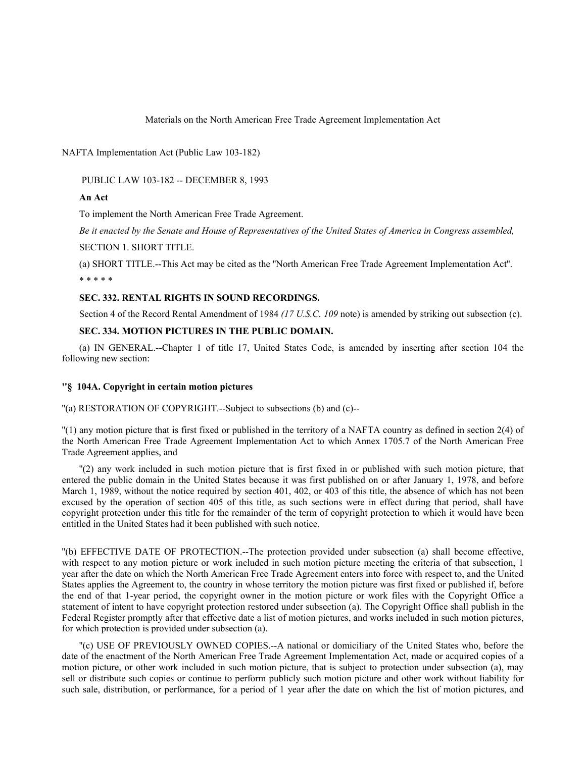Materials on the North American Free Trade Agreement Implementation Act

NAFTA Implementation Act (Public Law 103-182)

PUBLIC LAW 103-182 -- DECEMBER 8, 1993

## **An Act**

To implement the North American Free Trade Agreement.

*Be it enacted by the Senate and House of Representatives of the United States of America in Congress assembled,* SECTION 1. SHORT TITLE.

(a) SHORT TITLE.--This Act may be cited as the ''North American Free Trade Agreement Implementation Act''. \* \* \* \* \*

## **SEC. 332. RENTAL RIGHTS IN SOUND RECORDINGS.**

Section 4 of the Record Rental Amendment of 1984 *(17 U.S.C. 109* note) is amended by striking out subsection (c).

## **SEC. 334. MOTION PICTURES IN THE PUBLIC DOMAIN.**

(a) IN GENERAL.--Chapter 1 of title 17, United States Code, is amended by inserting after section 104 the following new section:

## **''§ 104A. Copyright in certain motion pictures**

''(a) RESTORATION OF COPYRIGHT.--Subject to subsections (b) and (c)--

''(1) any motion picture that is first fixed or published in the territory of a NAFTA country as defined in section 2(4) of the North American Free Trade Agreement Implementation Act to which Annex 1705.7 of the North American Free Trade Agreement applies, and

''(2) any work included in such motion picture that is first fixed in or published with such motion picture, that entered the public domain in the United States because it was first published on or after January 1, 1978, and before March 1, 1989, without the notice required by section 401, 402, or 403 of this title, the absence of which has not been excused by the operation of section 405 of this title, as such sections were in effect during that period, shall have copyright protection under this title for the remainder of the term of copyright protection to which it would have been entitled in the United States had it been published with such notice.

''(b) EFFECTIVE DATE OF PROTECTION.--The protection provided under subsection (a) shall become effective, with respect to any motion picture or work included in such motion picture meeting the criteria of that subsection, 1 year after the date on which the North American Free Trade Agreement enters into force with respect to, and the United States applies the Agreement to, the country in whose territory the motion picture was first fixed or published if, before the end of that 1-year period, the copyright owner in the motion picture or work files with the Copyright Office a statement of intent to have copyright protection restored under subsection (a). The Copyright Office shall publish in the Federal Register promptly after that effective date a list of motion pictures, and works included in such motion pictures, for which protection is provided under subsection (a).

''(c) USE OF PREVIOUSLY OWNED COPIES.--A national or domiciliary of the United States who, before the date of the enactment of the North American Free Trade Agreement Implementation Act, made or acquired copies of a motion picture, or other work included in such motion picture, that is subject to protection under subsection (a), may sell or distribute such copies or continue to perform publicly such motion picture and other work without liability for such sale, distribution, or performance, for a period of 1 year after the date on which the list of motion pictures, and